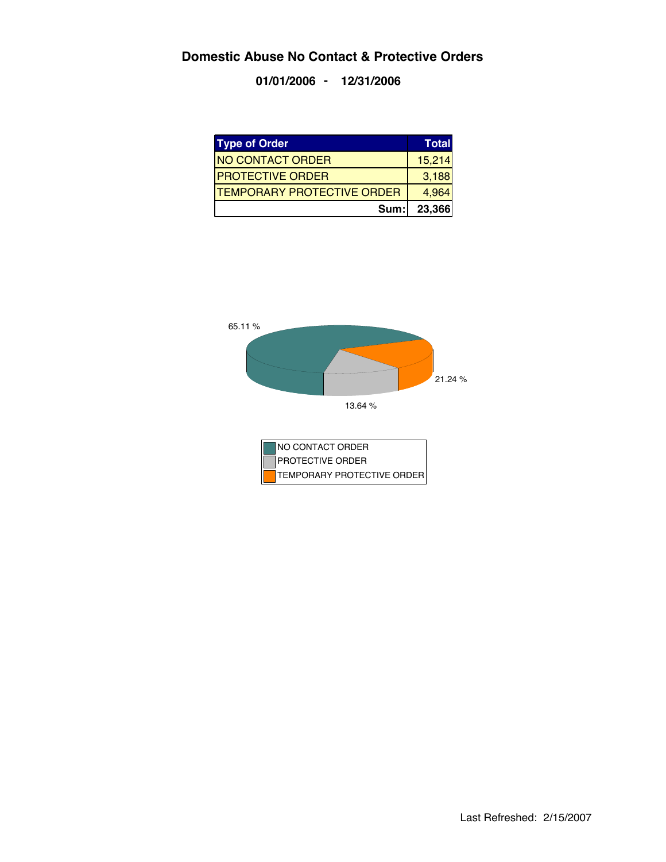**01/01/2006 - 12/31/2006**

| <b>Type of Order</b>              | <b>Total</b> |
|-----------------------------------|--------------|
| <b>NO CONTACT ORDER</b>           | 15,214       |
| <b>IPROTECTIVE ORDER</b>          | 3,188        |
| <b>TEMPORARY PROTECTIVE ORDER</b> | 4,964        |
| Sum:                              | 23,366       |

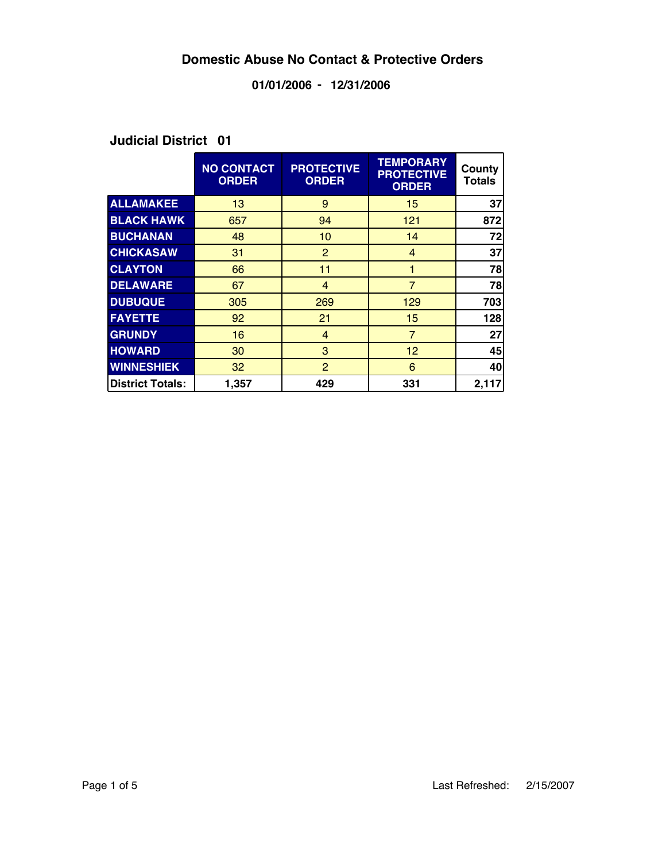### **01/01/2006 - 12/31/2006**

|                         | <b>NO CONTACT</b><br><b>ORDER</b> | <b>PROTECTIVE</b><br><b>ORDER</b> | <b>TEMPORARY</b><br><b>PROTECTIVE</b><br><b>ORDER</b> | County<br>Totals |
|-------------------------|-----------------------------------|-----------------------------------|-------------------------------------------------------|------------------|
| <b>ALLAMAKEE</b>        | 13                                | 9                                 | 15                                                    | 37               |
| <b>BLACK HAWK</b>       | 657                               | 94                                | 121                                                   | 872              |
| <b>BUCHANAN</b>         | 48                                | 10 <sup>1</sup>                   | 14                                                    | 72               |
| <b>CHICKASAW</b>        | 31                                | $\overline{2}$                    | 4                                                     | 37               |
| <b>CLAYTON</b>          | 66                                | 11                                |                                                       | 78               |
| <b>DELAWARE</b>         | 67                                | $\overline{4}$                    | $\overline{7}$                                        | 78               |
| <b>DUBUQUE</b>          | 305                               | 269                               | 129                                                   | 703              |
| <b>FAYETTE</b>          | 92                                | 21                                | 15                                                    | 128              |
| <b>GRUNDY</b>           | 16                                | 4                                 | $\overline{7}$                                        | 27               |
| <b>HOWARD</b>           | 30                                | 3                                 | 12                                                    | 45               |
| <b>WINNESHIEK</b>       | 32                                | $\overline{2}$                    | 6                                                     | 40               |
| <b>District Totals:</b> | 1,357                             | 429                               | 331                                                   | 2,117            |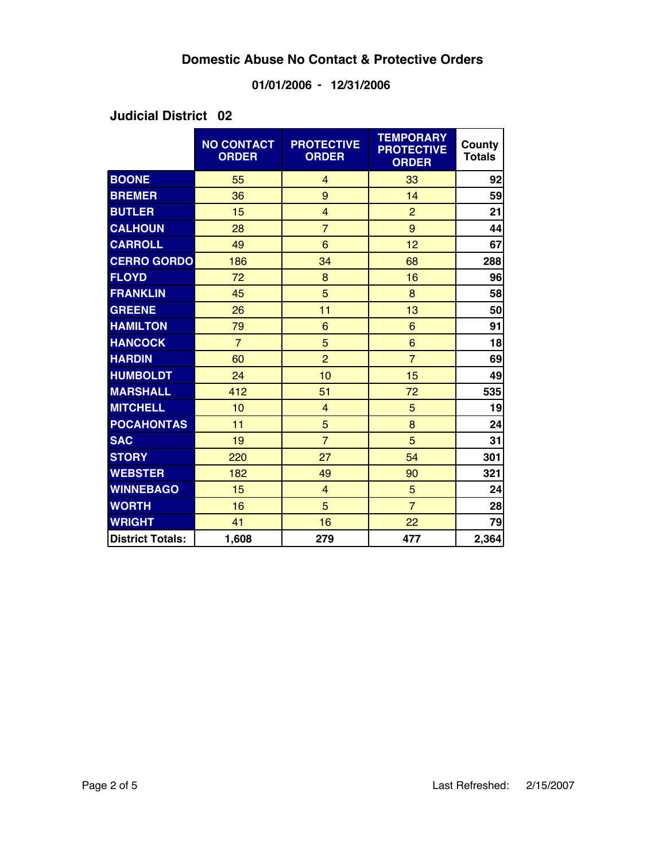### **01/01/2006 - 12/31/2006**

|                         | <b>NO CONTACT</b><br><b>ORDER</b> | <b>PROTECTIVE</b><br><b>ORDER</b> | <b>TEMPORARY</b><br><b>PROTECTIVE</b><br><b>ORDER</b> | County<br><b>Totals</b> |
|-------------------------|-----------------------------------|-----------------------------------|-------------------------------------------------------|-------------------------|
| <b>BOONE</b>            | 55                                | $\overline{4}$                    | 33                                                    | 92                      |
| <b>BREMER</b>           | 36                                | 9                                 | 14                                                    | 59                      |
| <b>BUTLER</b>           | 15                                | $\overline{4}$                    | $\overline{2}$                                        | 21                      |
| <b>CALHOUN</b>          | 28                                | $\overline{7}$                    | 9                                                     | 44                      |
| <b>CARROLL</b>          | 49                                | 6                                 | 12                                                    | 67                      |
| <b>CERRO GORDO</b>      | 186                               | 34                                | 68                                                    | 288                     |
| <b>FLOYD</b>            | 72                                | 8                                 | 16                                                    | 96                      |
| <b>FRANKLIN</b>         | 45                                | 5                                 | 8                                                     | 58                      |
| <b>GREENE</b>           | 26                                | 11                                | 13                                                    | 50                      |
| <b>HAMILTON</b>         | 79                                | 6                                 | 6                                                     | 91                      |
| <b>HANCOCK</b>          | $\overline{7}$                    | 5                                 | $6\phantom{1}$                                        | 18                      |
| <b>HARDIN</b>           | 60                                | $\overline{2}$                    | $\overline{7}$                                        | 69                      |
| <b>HUMBOLDT</b>         | 24                                | 10                                | 15                                                    | 49                      |
| <b>MARSHALL</b>         | 412                               | 51                                | 72                                                    | 535                     |
| <b>MITCHELL</b>         | 10                                | $\overline{4}$                    | 5                                                     | 19                      |
| <b>POCAHONTAS</b>       | 11                                | 5                                 | 8                                                     | 24                      |
| <b>SAC</b>              | 19                                | $\overline{7}$                    | 5                                                     | 31                      |
| <b>STORY</b>            | 220                               | 27                                | 54                                                    | 301                     |
| <b>WEBSTER</b>          | 182                               | 49                                | 90                                                    | 321                     |
| <b>WINNEBAGO</b>        | 15                                | $\overline{4}$                    | 5                                                     | 24                      |
| <b>WORTH</b>            | 16                                | 5                                 | $\overline{7}$                                        | 28                      |
| <b>WRIGHT</b>           | 41                                | 16                                | 22                                                    | 79                      |
| <b>District Totals:</b> | 1,608                             | 279                               | 477                                                   | 2,364                   |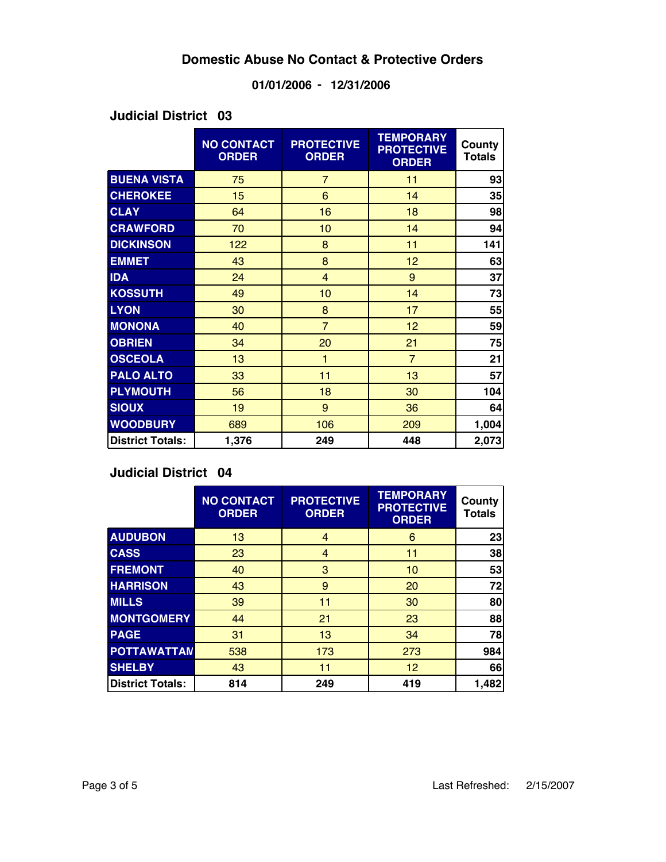### **01/01/2006 - 12/31/2006**

#### **03 Judicial District**

|                         | <b>NO CONTACT</b><br><b>ORDER</b> | <b>PROTECTIVE</b><br><b>ORDER</b> | <b>TEMPORARY</b><br><b>PROTECTIVE</b><br><b>ORDER</b> | County<br><b>Totals</b> |
|-------------------------|-----------------------------------|-----------------------------------|-------------------------------------------------------|-------------------------|
| <b>BUENA VISTA</b>      | 75                                | $\overline{7}$                    | 11                                                    | 93                      |
| <b>CHEROKEE</b>         | 15                                | 6                                 | 14                                                    | 35                      |
| <b>CLAY</b>             | 64                                | 16                                | 18                                                    | 98                      |
| <b>CRAWFORD</b>         | 70                                | 10                                | 14                                                    | 94                      |
| <b>DICKINSON</b>        | 122                               | 8                                 | 11                                                    | 141                     |
| <b>EMMET</b>            | 43                                | 8                                 | 12                                                    | 63                      |
| <b>IDA</b>              | 24                                | $\overline{4}$                    | 9                                                     | 37                      |
| <b>KOSSUTH</b>          | 49                                | 10                                | 14                                                    | 73                      |
| <b>LYON</b>             | 30                                | 8                                 | 17                                                    | 55                      |
| <b>MONONA</b>           | 40                                | $\overline{7}$                    | 12                                                    | 59                      |
| <b>OBRIEN</b>           | 34                                | 20                                | 21                                                    | 75                      |
| <b>OSCEOLA</b>          | 13                                | 1                                 | $\overline{7}$                                        | 21                      |
| <b>PALO ALTO</b>        | 33                                | 11                                | 13                                                    | 57                      |
| <b>PLYMOUTH</b>         | 56                                | 18                                | 30                                                    | 104                     |
| <b>SIOUX</b>            | 19                                | 9                                 | 36                                                    | 64                      |
| <b>WOODBURY</b>         | 689                               | 106                               | 209                                                   | 1,004                   |
| <b>District Totals:</b> | 1,376                             | 249                               | 448                                                   | 2,073                   |

|                         | <b>NO CONTACT</b><br><b>ORDER</b> | <b>PROTECTIVE</b><br><b>ORDER</b> | <b>TEMPORARY</b><br><b>PROTECTIVE</b><br><b>ORDER</b> | County<br><b>Totals</b> |
|-------------------------|-----------------------------------|-----------------------------------|-------------------------------------------------------|-------------------------|
| <b>AUDUBON</b>          | 13                                | 4                                 | 6                                                     | 23                      |
| <b>CASS</b>             | 23                                | 4                                 | 11                                                    | 38                      |
| <b>FREMONT</b>          | 40                                | 3                                 | 10                                                    | 53                      |
| <b>HARRISON</b>         | 43                                | 9                                 | 20                                                    | 72                      |
| <b>MILLS</b>            | 39                                | 11                                | 30                                                    | 80                      |
| <b>MONTGOMERY</b>       | 44                                | 21                                | 23                                                    | 88                      |
| <b>PAGE</b>             | 31                                | 13                                | 34                                                    | 78                      |
| <b>POTTAWATTAN</b>      | 538                               | 173                               | 273                                                   | 984                     |
| <b>SHELBY</b>           | 43                                | 11                                | 12                                                    | 66                      |
| <b>District Totals:</b> | 814                               | 249                               | 419                                                   | 1,482                   |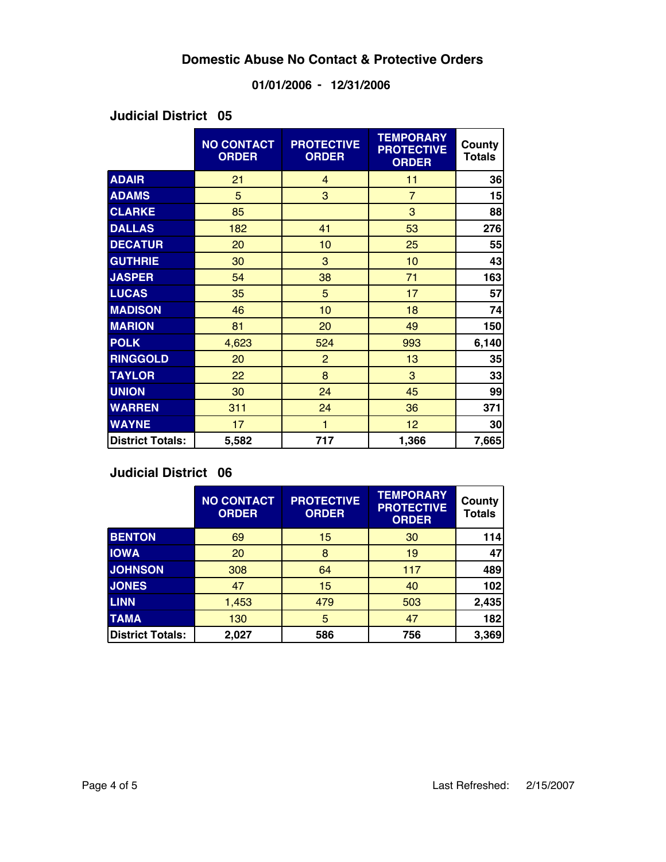### **01/01/2006 - 12/31/2006**

#### **05 Judicial District**

|                         | <b>NO CONTACT</b><br><b>ORDER</b> | <b>PROTECTIVE</b><br><b>ORDER</b> | <b>TEMPORARY</b><br><b>PROTECTIVE</b><br><b>ORDER</b> | County<br><b>Totals</b> |
|-------------------------|-----------------------------------|-----------------------------------|-------------------------------------------------------|-------------------------|
| <b>ADAIR</b>            | 21                                | $\overline{4}$                    | 11                                                    | 36                      |
| <b>ADAMS</b>            | 5                                 | 3                                 | $\overline{7}$                                        | 15                      |
| <b>CLARKE</b>           | 85                                |                                   | 3                                                     | 88                      |
| <b>DALLAS</b>           | 182                               | 41                                | 53                                                    | 276                     |
| <b>DECATUR</b>          | 20                                | 10                                | 25                                                    | 55                      |
| <b>GUTHRIE</b>          | 30                                | 3                                 | 10                                                    | 43                      |
| <b>JASPER</b>           | 54                                | 38                                | 71                                                    | 163                     |
| <b>LUCAS</b>            | 35                                | 5                                 | 17                                                    | 57                      |
| <b>MADISON</b>          | 46                                | 10                                | 18                                                    | 74                      |
| <b>MARION</b>           | 81                                | 20                                | 49                                                    | 150                     |
| <b>POLK</b>             | 4,623                             | 524                               | 993                                                   | 6,140                   |
| <b>RINGGOLD</b>         | 20                                | $\overline{2}$                    | 13                                                    | 35                      |
| <b>TAYLOR</b>           | 22                                | 8                                 | 3                                                     | 33                      |
| <b>UNION</b>            | 30                                | 24                                | 45                                                    | 99                      |
| <b>WARREN</b>           | 311                               | 24                                | 36                                                    | 371                     |
| <b>WAYNE</b>            | 17                                | $\mathbf{1}$                      | 12                                                    | 30                      |
| <b>District Totals:</b> | 5,582                             | 717                               | 1,366                                                 | 7,665                   |

|                         | <b>NO CONTACT</b><br><b>ORDER</b> | <b>PROTECTIVE</b><br><b>ORDER</b> | <b>TEMPORARY</b><br><b>PROTECTIVE</b><br><b>ORDER</b> | County<br><b>Totals</b> |
|-------------------------|-----------------------------------|-----------------------------------|-------------------------------------------------------|-------------------------|
| <b>BENTON</b>           | 69                                | 15                                | 30                                                    | 114                     |
| <b>IOWA</b>             | 20                                | 8                                 | 19                                                    | 47                      |
| <b>JOHNSON</b>          | 308                               | 64                                | 117                                                   | 489                     |
| <b>JONES</b>            | 47                                | 15                                | 40                                                    | 102                     |
| <b>LINN</b>             | 1,453                             | 479                               | 503                                                   | 2,435                   |
| <b>TAMA</b>             | 130                               | 5                                 | 47                                                    | 182                     |
| <b>District Totals:</b> | 2,027                             | 586                               | 756                                                   | 3,369                   |